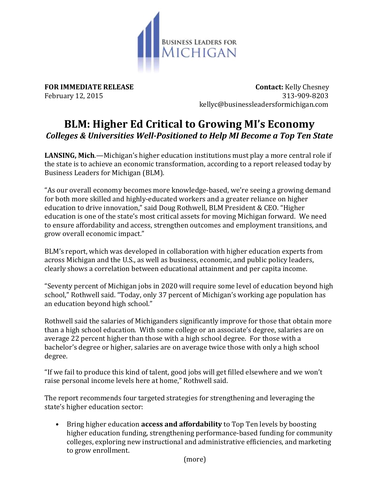

**FOR IMMEDIATE RELEASE CONTACT:** Kelly Chesney February 12, 2015313-909-8203 kellyc@businessleadersformichigan.com

## **BLM: Higher Ed Critical to Growing MI's Economy** *Colleges & Universities Well-Positioned to Help MI Become a Top Ten State*

**LANSING, Mich**.—Michigan's higher education institutions must play a more central role if the state is to achieve an economic transformation, according to a report released today by Business Leaders for Michigan (BLM).

"As our overall economy becomes more knowledge-based, we're seeing a growing demand for both more skilled and highly-educated workers and a greater reliance on higher education to drive innovation," said Doug Rothwell, BLM President & CEO. "Higher education is one of the state's most critical assets for moving Michigan forward. We need to ensure affordability and access, strengthen outcomes and employment transitions, and grow overall economic impact."

BLM's report, which was developed in collaboration with higher education experts from across Michigan and the U.S., as well as business, economic, and public policy leaders, clearly shows a correlation between educational attainment and per capita income.

"Seventy percent of Michigan jobs in 2020 will require some level of education beyond high school," Rothwell said. "Today, only 37 percent of Michigan's working age population has an education beyond high school."

Rothwell said the salaries of Michiganders significantly improve for those that obtain more than a high school education. With some college or an associate's degree, salaries are on average 22 percent higher than those with a high school degree. For those with a bachelor's degree or higher, salaries are on average twice those with only a high school degree.

"If we fail to produce this kind of talent, good jobs will get filled elsewhere and we won't raise personal income levels here at home," Rothwell said.

The report recommends four targeted strategies for strengthening and leveraging the state's higher education sector:

• Bring higher education **access and affordability** to Top Ten levels by boosting higher education funding, strengthening performance-based funding for community colleges, exploring new instructional and administrative efficiencies, and marketing to grow enrollment.